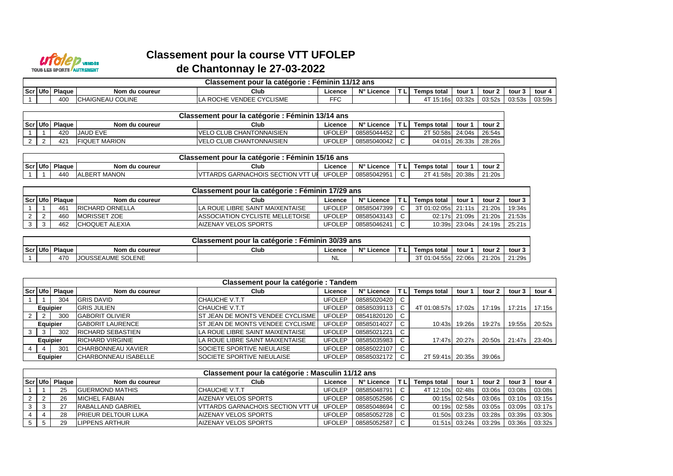

## **Classement pour la course VTT UFOLEPde Chantonnay le 27-03-2022**

|         | 11/12 ans<br>Classement pour la catégorie :<br>Feminin |        |                        |                                                      |            |                 |  |                    |        |        |        |        |
|---------|--------------------------------------------------------|--------|------------------------|------------------------------------------------------|------------|-----------------|--|--------------------|--------|--------|--------|--------|
| Scr Ufo |                                                        | Plaque | Nom du coureur         | Club                                                 | Licence    | N°II<br>.icence |  | <b>Temps total</b> | tour   | tour 2 | tour   | tour   |
|         |                                                        | 400    | <b>HAIGNEAU COLINE</b> | <b>CYCLISME</b><br>TVENDEE C\<br><b>ROC</b><br>1 L F | <b>FFC</b> |                 |  | 15:16s             | 03:32s | 03:52s | 03:53s | 03:59s |

| Classement pour la catégorie : Féminin 13/14 ans |                 |                       |                                  |               |             |  |                    |               |        |  |  |  |
|--------------------------------------------------|-----------------|-----------------------|----------------------------------|---------------|-------------|--|--------------------|---------------|--------|--|--|--|
| Scr Ufo                                          | Plaque          | Nom du coureur        | Club                             | ∟icence       | N° Licence  |  | <b>Temps total</b> | tour          | tour 2 |  |  |  |
|                                                  | 42 <sub>C</sub> | <b>JAUD EVE</b>       | <b>IVELO CLUB CHANTONNAISIEN</b> | JFOLEP        | 08585044452 |  | 2T 50:58s          | 24:04s        | 26:54s |  |  |  |
|                                                  | 421             | <b>IFIQUET MARION</b> | <b>IVELO CLUB CHANTONNAISIEN</b> | <b>JFOLEP</b> | 08585040042 |  |                    | 04:01s 26:33s | 28:26s |  |  |  |

|     | $\sim$<br>15/16 ans<br>Féminin<br><b>Classement pour</b><br>r la catégorie. |        |                       |                                                               |               |                          |  |                                        |        |        |  |  |  |
|-----|-----------------------------------------------------------------------------|--------|-----------------------|---------------------------------------------------------------|---------------|--------------------------|--|----------------------------------------|--------|--------|--|--|--|
| Scr | Ufo                                                                         | Plaque | Nom du coureur        | Club                                                          | Licence       | $N^{\circ}$ L<br>∟icence |  | Temps total                            | tour   | tour 2 |  |  |  |
|     |                                                                             | 440    | <b>MANON</b><br>_BERT | <b>SECTION</b><br>$\sqrt{1 + \tau}$<br>TARDS GARNACHOIS<br>Uf | <b>UFOLEF</b> | 0858504295               |  | ີ 41:58s⊤<br>$\sim$ $\tau$<br><u>_</u> | 20:38s | 21:20s |  |  |  |

| Classement pour la catégorie : Féminin 17/29 ans |        |                         |                                         |               |             |     |                    |                      |        |        |  |  |  |
|--------------------------------------------------|--------|-------------------------|-----------------------------------------|---------------|-------------|-----|--------------------|----------------------|--------|--------|--|--|--|
| Scri Ufol                                        | Plaque | Nom du coureur          | Club                                    | Licence.      | N° Licence  | TL. | <b>Temps total</b> | tour                 | tour 2 | tour 3 |  |  |  |
|                                                  | 461    | <b>IRICHARD ORNELLA</b> | <b>ILA ROUE LIBRE SAINT MAIXENTAISE</b> | <b>UFOLEP</b> | 08585047399 |     | 3T 01:02:05sl      | 21:11s   21:20s      |        | 19:34s |  |  |  |
|                                                  | 460    | <b>IMORISSET ZOE</b>    | <b>IASSOCIATION CYCLISTE MELLETOISE</b> | UFOLEP        | 08585043143 |     |                    | 02:17s 21:09s 21:20s |        | 21:53s |  |  |  |
|                                                  | 462    | <b>ICHOQUET ALEXIA</b>  | IAIZENAY VELOS SPORTS                   | JFOLEP        | 08585046241 |     |                    | 10:39s 23:04s 24:19s |        | 25:21s |  |  |  |

| 30/39 ans<br><b>Classement pour</b><br>Féminin<br><sup>.</sup> la catégorie |        |                                 |      |         |                            |  |                          |        |        |        |  |
|-----------------------------------------------------------------------------|--------|---------------------------------|------|---------|----------------------------|--|--------------------------|--------|--------|--------|--|
| Scr Ufo                                                                     | Plague | Nom du coureur                  | Club | ∟icence | $N^{\circ}$ i i<br>∟icence |  | <b>Temps total</b>       | tour   | ∡ tour | tour   |  |
|                                                                             | 470    | JOUSSEAUME SOLENE<br>$\sqrt{ }$ |      | ᠃       |                            |  | T 01:04:55s l<br>$\cdot$ | 22:06s | 21:20s | 21:29s |  |

|                |          |          |                             | Classement pour la catégorie : Tandem |               |             |     |                    |               |        |        |        |
|----------------|----------|----------|-----------------------------|---------------------------------------|---------------|-------------|-----|--------------------|---------------|--------|--------|--------|
| Scr Ufo        |          | Plaque I | Nom du coureur              | Club                                  | Licence       | N° Licence  | TL. | <b>Temps total</b> | tour 1        | tour 2 | tour 3 | tour 4 |
|                |          | 304      | <b>GRIS DAVID</b>           | <b>CHAUCHE V.T.T</b>                  | <b>UFOLEP</b> | 08585020420 |     |                    |               |        |        |        |
|                | Equipier |          | <b>GRIS JULIEN</b>          | <b>CHAUCHE V.T.T</b>                  | <b>UFOLEP</b> | 08585039113 | C.  | 4T 01:08:57s       | 17:02s        | 17:19s | 17:21s | 17:15s |
| 2              |          | 300      | <b>GABORIT OLIVIER</b>      | IST JEAN DE MONTS VENDEE CYCLISME     | UFOLEP        | 08541820120 |     |                    |               |        |        |        |
|                | Equipier |          | <b>GABORIT LAURENCE</b>     | IST JEAN DE MONTS VENDEE CYCLISME     | <b>UFOLEP</b> | 08585014027 |     | 10:43s             | 19:26s        | 19:27s | 19:55s | 20:52s |
| 3              |          | 302      | <b>RICHARD SEBASTIEN</b>    | LA ROUE LIBRE SAINT MAIXENTAISE       | <b>UFOLEP</b> | 08585021221 |     |                    |               |        |        |        |
|                | Equipier |          | <b>RICHARD VIRGINIE</b>     | LA ROUE LIBRE SAINT MAIXENTAISE       | <b>UFOLEP</b> | 08585035983 |     |                    | 17:47s 20:27s | 20:50s | 21:47s | 23:40s |
| $\overline{4}$ |          | 301      | <b>CHARBONNEAU XAVIER</b>   | <b>SOCIETE SPORTIVE NIEULAISE</b>     | <b>UFOLEP</b> | 08585022107 | C.  |                    |               |        |        |        |
|                | Equipier |          | <b>CHARBONNEAU ISABELLE</b> | <b>SOCIETE SPORTIVE NIEULAISE</b>     | <b>UFOLEP</b> | 08585032172 |     | 2T 59:41s          | 20:35s        | 39:06s |        |        |

|          | Classement pour la catégorie : Masculin 11/12 ans |        |                            |                                    |               |             |  |             |               |        |          |        |  |  |
|----------|---------------------------------------------------|--------|----------------------------|------------------------------------|---------------|-------------|--|-------------|---------------|--------|----------|--------|--|--|
| Scr Ufol |                                                   | Plaque | Nom du coureur             | Club                               | Licence       | N° Licence  |  | Temps total | tour 1        | tour 2 | tour 3   | tour 4 |  |  |
|          |                                                   | 25     | <b>IGUERMOND MATHIS</b>    | ICHAUCHE V.T.T                     | <b>UFOLEP</b> | 08585048791 |  |             |               | 03:06s | 03:08s l | 03:08s |  |  |
|          |                                                   | 26     | <b>MICHEL FABIAN</b>       | <b>AIZENAY VELOS SPORTS</b>        | <b>UFOLEP</b> | 08585052586 |  |             |               | 03:06s | 03:10s   | 03:15s |  |  |
|          |                                                   | 27     | <b>RABALLAND GABRIEL</b>   | IVTTARDS GARNACHOIS SECTION VTT UI | <b>UFOLEP</b> | 08585048694 |  |             | 00:19s 02:58s | 03:05s | 03:09s l | 03:17s |  |  |
|          |                                                   | 28     | <b>PRIEUR DELTOUR LUKA</b> | <b>AIZENAY VELOS SPORTS</b>        | <b>UFOLEP</b> | 08585052728 |  |             | 01:50s 03:23s | 03:28s | 03:39s   | 03:30s |  |  |
|          |                                                   | 29     | LIPPENS ARTHUR             | <b>AIZENAY VELOS SPORTS</b>        | <b>UFOLEP</b> | 08585052587 |  |             | 01:51s 03:24s | 03:29s | 03:36s   | 03:32s |  |  |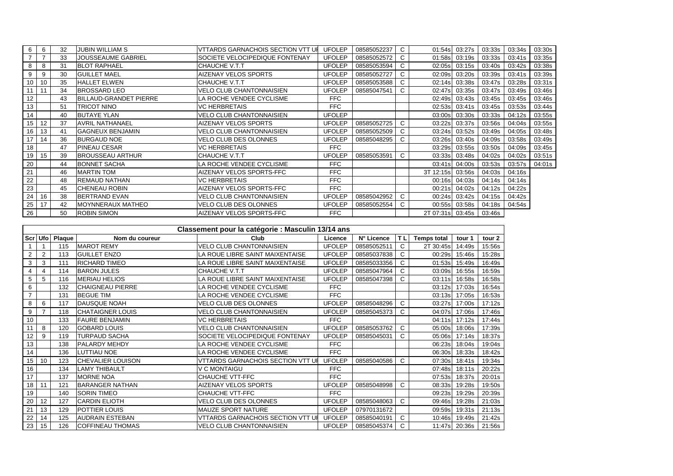| 6               | 6  | 32 | <b>JUBIN WILLIAM S</b>        | <b>VTTARDS GARNACHOIS SECTION VTT UI</b> | <b>UFOLEP</b> | 08585052237 | C |                  | 01:54s 03:27s | 03:33s | 03:34s | 03:30s |
|-----------------|----|----|-------------------------------|------------------------------------------|---------------|-------------|---|------------------|---------------|--------|--------|--------|
|                 |    | 33 | JOUSSEAUME GABRIEL            | SOCIETE VELOCIPEDIQUE FONTENAY           | <b>UFOLEP</b> | 08585052572 | C | 01:58s           | 03:19s        | 03:33s | 03:41s | 03:35s |
| 8               | 8  | 31 | <b>BLOT RAPHAEL</b>           | CHAUCHE V.T.T                            | <b>UFOLEP</b> | 08585053594 | C |                  | 02:05s 03:15s | 03:40s | 03:42s | 03:38s |
| 9               | 9  | 30 | <b>GUILLET MAEL</b>           | AIZENAY VELOS SPORTS                     | <b>UFOLEP</b> | 08585052727 | C | 02:09s           | 03:20s        | 03:39s | 03:41s | 03:39s |
| 10 <sup>°</sup> | 10 | 35 | <b>HALLET ELWEN</b>           | CHAUCHE V.T.T                            | <b>UFOLEP</b> | 08585053588 | C |                  | 02:14s 03:38s | 03:47s | 03:28s | 03:31s |
| 11              | 11 | 34 | <b>BROSSARD LEO</b>           | <b>VELO CLUB CHANTONNAISIEN</b>          | <b>UFOLEP</b> | 08585047541 | C | 02:47s           | 03:35s        | 03:47s | 03:49s | 03:46s |
| 12              |    | 43 | <b>BILLAUD-GRANDET PIERRE</b> | LA ROCHE VENDEE CYCLISME                 | <b>FFC</b>    |             |   | 02:49s           | 03:43s        | 03:45s | 03:45s | 03:46s |
| 13              |    | 51 | TRICOT NINO                   | <b>VC HERBRETAIS</b>                     | <b>FFC</b>    |             |   |                  | 02:53s 03:41s | 03:45s | 03:53s | 03:44s |
| 14              |    | 40 | <b>BUTAYE YLAN</b>            | <b>VELO CLUB CHANTONNAISIEN</b>          | <b>UFOLEP</b> |             |   | 03:00s           | 03:30s        | 03:33s | 04:12s | 03:55s |
| 15              | 12 | 37 | <b>AVRIL NATHANAEL</b>        | AIZENAY VELOS SPORTS                     | <b>UFOLEP</b> | 08585052725 | C | 03:22s           | 03:37s        | 03:56s | 04:04s | 03:55s |
| 16              | 13 | 41 | <b>GAGNEUX BENJAMIN</b>       | VELO CLUB CHANTONNAISIEN                 | <b>UFOLEP</b> | 08585052509 | C | 03:24s           | 03:52s        | 03:49s | 04:05s | 03:48s |
|                 | 14 | 36 | <b>BURGAUD NOE</b>            | <b>VELO CLUB DES OLONNES</b>             | <b>UFOLEP</b> | 08585048295 | C | 03:26s           | 03:40s        | 04:09s | 03:58s | 03:49s |
| 18              |    | 47 | <b>PINEAU CESAR</b>           | <b>VC HERBRETAIS</b>                     | <b>FFC</b>    |             |   | 03:29s           | 03:55s        | 03:50s | 04:09s | 03:45s |
| 19              | 15 | 39 | <b>BROUSSEAU ARTHUR</b>       | CHAUCHE V.T.T                            | <b>UFOLEP</b> | 08585053591 | C | 03:33s           | 03:48s        | 04:02s | 04:02s | 03:51s |
| 20              |    | 44 | <b>BONNET SACHA</b>           | LA ROCHE VENDEE CYCLISME                 | <b>FFC</b>    |             |   | 03:41 s          | 04:00s        | 03:53s | 03:57s | 04:01s |
| 21              |    | 46 | <b>MARTIN TOM</b>             | AIZENAY VELOS SPORTS-FFC                 | <b>FFC</b>    |             |   | 3T 12:15s        | 03:56s        | 04:03s | 04:16s |        |
| 22              |    | 48 | <b>REMAUD NATHAN</b>          | <b>VC HERBRETAIS</b>                     | <b>FFC</b>    |             |   | 00:16s           | 04:03s        | 04:14s | 04:14s |        |
| 23              |    | 45 | <b>CHENEAU ROBIN</b>          | AIZENAY VELOS SPORTS-FFC                 | <b>FFC</b>    |             |   | 00:21s           | 04:02s        | 04:12s | 04:22s |        |
| 24              | 16 | 38 | <b>BERTRAND EVAN</b>          | <b>VELO CLUB CHANTONNAISIEN</b>          | <b>UFOLEP</b> | 08585042952 | C | 00:24s           | 03:42s        | 04:15s | 04:42s |        |
| 25              | 17 | 42 | <b>MOYNNERAUX MATHEO</b>      | <b>VELO CLUB DES OLONNES</b>             | <b>UFOLEP</b> | 08585052554 | C |                  | 00:55s 03:58s | 04:18s | 04:54s |        |
| 26              |    | 50 | <b>ROBIN SIMON</b>            | AIZENAY VELOS SPORTS-FFC                 | <b>FFC</b>    |             |   | 2T 07:31s 03:45s |               | 03:46s |        |        |

|     | Classement pour la catégorie : Masculin 13/14 ans |        |                          |                                          |               |             |    |                    |        |        |  |  |  |  |
|-----|---------------------------------------------------|--------|--------------------------|------------------------------------------|---------------|-------------|----|--------------------|--------|--------|--|--|--|--|
| Scr | Ufo                                               | Plaque | Nom du coureur           | Club                                     | Licence       | N° Licence  | ΤL | <b>Temps total</b> | tour 1 | tour 2 |  |  |  |  |
|     |                                                   | 115    | <b>MAROT REMY</b>        | <b>VELO CLUB CHANTONNAISIEN</b>          | <b>UFOLEP</b> | 08585052511 | C  | 2T 30:45s          | 14:49s | 15:56s |  |  |  |  |
| 2   | 2                                                 | 113    | <b>GUILLET ENZO</b>      | LA ROUE LIBRE SAINT MAIXENTAISE          | <b>UFOLEP</b> | 08585037838 | C  | 00:29s             | 15:46s | 15:28s |  |  |  |  |
| 3   | 3                                                 | 111    | <b>RICHARD TIMEO</b>     | LA ROUE LIBRE SAINT MAIXENTAISE          | <b>UFOLEP</b> | 08585033356 | C  | 01:53s             | 15:49s | 16:49s |  |  |  |  |
| 4   | 4                                                 | 114    | <b>BARON JULES</b>       | CHAUCHE V.T.T                            | <b>UFOLEP</b> | 08585047964 | C  | 03:09s             | 16:55s | 16:59s |  |  |  |  |
| 5   | 5                                                 | 116    | <b>MERIAU HELIOS</b>     | LA ROUE LIBRE SAINT MAIXENTAISE          | <b>UFOLEP</b> | 08585047398 | C  | 03:11s             | 16:58s | 16:58s |  |  |  |  |
| 6   |                                                   | 132    | <b>CHAIGNEAU PIERRE</b>  | LA ROCHE VENDEE CYCLISME                 | <b>FFC</b>    |             |    | 03:12s             | 17:03s | 16:54s |  |  |  |  |
| 7   |                                                   | 131    | <b>BEGUE TIM</b>         | LA ROCHE VENDEE CYCLISME                 | <b>FFC</b>    |             |    | 03:13s             | 17:05s | 16:53s |  |  |  |  |
| 8   | 6                                                 | 117    | DAUSQUE NOAH             | VELO CLUB DES OLONNES                    | <b>UFOLEP</b> | 08585048296 | C  | 03:27s             | 17:00s | 17:12s |  |  |  |  |
| 9   |                                                   | 118    | <b>CHATAIGNER LOUIS</b>  | <b>VELO CLUB CHANTONNAISIEN</b>          | <b>UFOLEP</b> | 08585045373 | C  | 04:07s             | 17:06s | 17:46s |  |  |  |  |
| 10  |                                                   | 133    | <b>FAURE BENJAMIN</b>    | <b>VC HERBRETAIS</b>                     | <b>FFC</b>    |             |    | 04:11s             | 17:12s | 17:44s |  |  |  |  |
| 11  | 8                                                 | 120    | <b>GOBARD LOUIS</b>      | <b>VELO CLUB CHANTONNAISIEN</b>          | <b>UFOLEP</b> | 08585053762 | C  | 05:00s             | 18:06s | 17:39s |  |  |  |  |
| 12  | 9                                                 | 119    | <b>TURPAUD SACHA</b>     | SOCIETE VELOCIPEDIQUE FONTENAY           | <b>UFOLEP</b> | 08585045031 | C  | 05:06s             | 17:14s | 18:37s |  |  |  |  |
| 13  |                                                   | 138    | <b>PALARDY MEHDY</b>     | LA ROCHE VENDEE CYCLISME                 | <b>FFC</b>    |             |    | 06:23s             | 18:04s | 19:04s |  |  |  |  |
| 14  |                                                   | 136    | LUTTIAU NOE              | LA ROCHE VENDEE CYCLISME                 | <b>FFC</b>    |             |    | 06:30s             | 18:33s | 18:42s |  |  |  |  |
| 15  | 10                                                | 123    | <b>CHEVALIER LOUISON</b> | <b>VTTARDS GARNACHOIS SECTION VTT UF</b> | <b>UFOLEP</b> | 08585040586 | C  | 07:30s             | 18:41s | 19:34s |  |  |  |  |
| 16  |                                                   | 134    | <b>LAMY THIBAULT</b>     | V C MONTAIGU                             | <b>FFC</b>    |             |    | 07:48s             | 18:11s | 20:22s |  |  |  |  |
| 17  |                                                   | 137    | <b>MORNE NOA</b>         | CHAUCHE VTT-FFC                          | <b>FFC</b>    |             |    | 07:53s             | 18:37s | 20:01s |  |  |  |  |
| 18  | 11                                                | 121    | <b>BARANGER NATHAN</b>   | <b>AIZENAY VELOS SPORTS</b>              | <b>UFOLEP</b> | 08585048998 | C  | 08:33s             | 19:28s | 19:50s |  |  |  |  |
| 19  |                                                   | 140    | <b>SORIN TIMEO</b>       | CHAUCHE VTT-FFC                          | <b>FFC</b>    |             |    | 09:23s             | 19:29s | 20:39s |  |  |  |  |
| 20  | 12                                                | 127    | <b>CARDIN ELIOTH</b>     | <b>VELO CLUB DES OLONNES</b>             | <b>UFOLEP</b> | 08585048063 | C  | 09:46s             | 19:28s | 21:03s |  |  |  |  |
| 21  | 13                                                | 129    | <b>POTTIER LOUIS</b>     | <b>MAUZE SPORT NATURE</b>                | <b>UFOLEP</b> | 07970131672 |    | 09:59s             | 19:31s | 21:13s |  |  |  |  |
| 22  | 14                                                | 125    | <b>AUDRAIN ESTEBAN</b>   | VTTARDS GARNACHOIS SECTION VTT UI        | <b>UFOLEP</b> | 08585040191 | C  | 10:46s             | 19:49s | 21:42s |  |  |  |  |
| 23  | 15                                                | 126    | <b>COFFINEAU THOMAS</b>  | <b>VELO CLUB CHANTONNAISIEN</b>          | <b>UFOLEP</b> | 08585045374 |    | 11:47s             | 20:36s | 21:56s |  |  |  |  |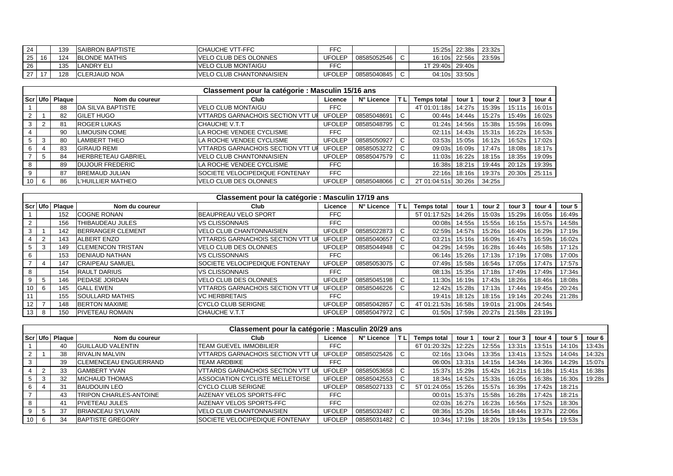| 24 |    | 139 | <b>ISAIBRON BAPTISTE</b> | <b>ICHAUCHE VTT-FFC</b>          | FFC           |             | 15:25sl   | 22:38s        | 23:32s |
|----|----|-----|--------------------------|----------------------------------|---------------|-------------|-----------|---------------|--------|
| 25 | 16 | 124 | <b>BLONDE MATHIS</b>     | <b>IVELO CLUB DES OLONNES</b>    | UFOLEP        | 08585052546 | 16:10s    | 22:56s        | 23:59s |
| 26 |    | 135 | LANDRY ELI               | <b>IVELO CLUB MONTAIGU</b>       | FFC           |             | 1T 29:40s | 29:40s        |        |
| 27 |    | 128 | <b>CLERJAUD NOA</b>      | <b>IVELO CLUB CHANTONNAISIEN</b> | <b>UFOLEP</b> | 08585040845 |           | 04:10s 33:50s |        |

|                 | Classement pour la catégorie : Masculin 15/16 ans |        |                           |                                          |               |             |     |                    |        |        |        |        |  |  |
|-----------------|---------------------------------------------------|--------|---------------------------|------------------------------------------|---------------|-------------|-----|--------------------|--------|--------|--------|--------|--|--|
|                 | Scr Ufo                                           | Plaque | Nom du coureur            | Club                                     | Licence       | N° Licence  | TL. | <b>Temps total</b> | tour 1 | tour 2 | tour 3 | tour 4 |  |  |
|                 |                                                   | 88     | <b>IDA SILVA BAPTISTE</b> | <b>IVELO CLUB MONTAIGU</b>               | <b>FFC</b>    |             |     | 4T 01:01:18s       | 14:27s | 15:39s | 15:11s | 16:01s |  |  |
|                 |                                                   | 82     | <b>GILET HUGO</b>         | VTTARDS GARNACHOIS SECTION VTT UP        | <b>UFOLEP</b> | 08585048691 |     | 00:44s             | 14:44s | 15:27s | 15:49s | 16:02s |  |  |
|                 |                                                   | 81     | <b>ROGER LUKAS</b>        | <b>CHAUCHE V.T.T</b>                     | <b>UFOLEP</b> | 08585048795 |     | 01:24s             | 14:56s | 15:38s | 15:59s | 16:09s |  |  |
|                 |                                                   | 90     | <b>LIMOUSIN COME</b>      | LA ROCHE VENDEE CYCLISME                 | FFC           |             |     | 02:11s             | 14:43s | 15:31s | 16:22s | 16:53s |  |  |
|                 | 3                                                 | 80     | <b>LAMBERT THEO</b>       | LA ROCHE VENDEE CYCLISME                 | <b>UFOLEP</b> | 08585050927 | U   | 03:53s             | 15:05s | 16:12s | 16:52s | 17:02s |  |  |
| 6               |                                                   | 83     | <b>GIRAUD REMI</b>        | <b>VTTARDS GARNACHOIS SECTION VTT UP</b> | <b>UFOLEP</b> | 08585053272 | C.  | 09:03s             | 16:09s | 17:47s | 18:08s | 18:17s |  |  |
|                 | 5                                                 | 84     | <b>HERBRETEAU GABRIEL</b> | <b>IVELO CLUB CHANTONNAISIEN</b>         | <b>UFOLEP</b> | 08585047579 |     | 11:03s             | 16:22s | 18:15s | 18:35s | 19:09s |  |  |
| 8               |                                                   | 89     | <b>DUJOUR FREDERIC</b>    | LA ROCHE VENDEE CYCLISME                 | <b>FFC</b>    |             |     | 16:38s             | 18:21s | 19:44s | 20:12s | 19:39s |  |  |
| 9               |                                                   | 87     | <b>BREMAUD JULIAN</b>     | SOCIETE VELOCIPEDIQUE FONTENAY           | <b>FFC</b>    |             |     | 22:16s             | 18:16s | 19:37s | 20:30s | 25:11s |  |  |
| 10 <sup>1</sup> | 6                                                 | 86     | <b>L'HUILLIER MATHEO</b>  | VELO CLUB DES OLONNES                    | <b>UFOLEP</b> | 08585048066 | C.  | 2T 01:04:51s       | 30:26s | 34:25s |        |        |  |  |

|                 | Classement pour la catégorie : Masculin 17/19 ans |                    |                          |                                           |               |             |     |                    |        |        |        |        |        |  |
|-----------------|---------------------------------------------------|--------------------|--------------------------|-------------------------------------------|---------------|-------------|-----|--------------------|--------|--------|--------|--------|--------|--|
|                 |                                                   | Scr   Ufo   Plaque | Nom du coureur           | Club                                      | Licence       | N° Licence  | 'TL | <b>Temps total</b> | tour   | tour 2 | tour 3 | tour 4 | tour 5 |  |
|                 |                                                   | 152                | <b>COGNE RONAN</b>       | BEAUPREAU VELO SPORT                      | FFC.          |             |     | 5T 01:17:52s       | 14:26s | 15:03s | 15:29s | 16:05s | 16:49s |  |
| 2               |                                                   | 156                | THIBAUDEAU JULES         | IVS CLISSONNAIS                           | <b>FFC</b>    |             |     | 00:08s             | 14:55s | 15:55s | 16:15s | 15:57s | 14:58s |  |
| 3               |                                                   | 142                | <b>BERRANGER CLEMENT</b> | VELO CLUB CHANTONNAISIEN                  | <b>UFOLEP</b> | 08585022873 | C   | 02:59s             | 14:57s | 15:26s | 16:40s | 16:29s | 17:19s |  |
|                 | $\overline{2}$                                    | 143                | <b>ALBERT ENZO</b>       | <b>IVTTARDS GARNACHOIS SECTION VTT UP</b> | <b>UFOLEP</b> | 08585040657 | C   | 03:21s             | 15:16s | 16:09s | 16:47s | 16:59s | 16:02s |  |
| 5               | 3                                                 | 149                | <b>CLEMENCON TRISTAN</b> | VELO CLUB DES OLONNES                     | <b>UFOLEP</b> | 08585044948 | C   | 04:29s             | 14:59s | 16:28s | 16:44s | 16:58s | 17:12s |  |
| 6               |                                                   | 153                | <b>DENIAUD NATHAN</b>    | IVS CLISSONNAIS                           | <b>FFC</b>    |             |     | 06:14s             | 15:26s | 17:13s | 17:19s | 17:08s | 17:00s |  |
|                 | -4                                                | 147                | <b>CRAIPEAU SAMUEL</b>   | <b>ISOCIETE VELOCIPEDIQUE FONTENAY</b>    | <b>UFOLEP</b> | 08585053075 | C   | 07:49sl            | 15:58s | 16:54s | 17:05s | 17:47s | 17:57s |  |
| 8               |                                                   | 154                | <b>RAULT DARIUS</b>      | IVS CLISSONNAIS                           | <b>FFC</b>    |             |     | 08:13sl            | 15:35s | 17:18s | 17:49s | 17:49s | 17:34s |  |
| 9               | 5                                                 | 146                | <b>IPEDASE JORDAN</b>    | <b>VELO CLUB DES OLONNES</b>              | <b>UFOLEP</b> | 08585045198 | C   | 11:30s             | 16:19s | 17:43s | 18:26s | 18:46s | 18:08s |  |
| 10 <sup>1</sup> | 6                                                 | 145                | <b>GALL EWEN</b>         | <b>VTTARDS GARNACHOIS SECTION VTT UF</b>  | <b>UFOLEP</b> | 08585046226 | C   | 12:42s             | 15:28s | 17:13s | 17:44s | 19:45s | 20:24s |  |
| 11              |                                                   | 155                | <b>ISOULLARD MATHIS</b>  | <b>VC HERBRETAIS</b>                      | <b>FFC</b>    |             |     | 19:41s             | 18:12s | 18:15s | 19:14s | 20:24s | 21:28s |  |
| 12 <sub>1</sub> |                                                   | 148                | <b>BERTON MAXIME</b>     | <b>ICYCLO CLUB SERIGNE</b>                | <b>UFOLEP</b> | 08585042857 | C   | 4T 01:21:53s       | 16:58s | 19:01s | 21:00s | 24:54s |        |  |
| 13 <sup>1</sup> | 8                                                 | 150                | <b>IPIVETEAU ROMAIN</b>  | <b>CHAUCHE V.T.T</b>                      | <b>UFOLEP</b> | 08585047972 |     | 01:50s             | 17:59s | 20:27s | 21:58s | 23:19s |        |  |

|    | Classement pour la catégorie : Masculin 20/29 ans                                                                                                        |    |                               |                                           |               |             |   |              |        |        |        |        |        |        |
|----|----------------------------------------------------------------------------------------------------------------------------------------------------------|----|-------------------------------|-------------------------------------------|---------------|-------------|---|--------------|--------|--------|--------|--------|--------|--------|
|    | Scr Ufo Plaque<br><b>Temps total</b><br>TL.<br>Club<br>N° Licence<br>tour 5<br>Nom du coureur<br>tour 6<br>Licence<br>tour 2<br>tour<br>tour 3<br>tour 4 |    |                               |                                           |               |             |   |              |        |        |        |        |        |        |
|    |                                                                                                                                                          | 40 | <b>GUILLAUD VALENTIN</b>      | <b>ITEAM GUEVEL IMMOBILIER</b>            | <b>FFC</b>    |             |   | 6T 01:20:32s | 12:22s | 12:55s | 13:31s | 13:51s | 14:10s | 13:43s |
|    |                                                                                                                                                          | 38 | <b>RIVALIN MALVIN</b>         | <b>IVTTARDS GARNACHOIS SECTION VTT UP</b> | <b>UFOLEP</b> | 08585025426 | C | 02:16s       | 13:04s | 13:35s | 13:41s | 13:52s | 14:04s | 14:32s |
|    |                                                                                                                                                          | 39 | <b>ICLEMENCEAU ENGUERRAND</b> | <b>TEAM ARDBIKE</b>                       | <b>FFC</b>    |             |   | 06:00s       | 13:31s | 14:15s | 14:34s | 14:36s | 14:29s | 15:07s |
|    |                                                                                                                                                          | 33 | <b>GAMBERT YVAN</b>           | <b>IVTTARDS GARNACHOIS SECTION VTT U</b>  | <b>UFOLEP</b> | 08585053658 | C | 15:37s       | 15:29s | 15:42s | 16:21s | 16:18s | 15:41s | 16:38s |
|    |                                                                                                                                                          | 32 | <b>MICHAUD THOMAS</b>         | <b>ASSOCIATION CYCLISTE MELLETOISE</b>    | <b>UFOLEP</b> | 08585042553 |   | 18:34s       | 14:52s | 15:33s | 16:05s | 16:38s | 16:30s | 19:28s |
|    |                                                                                                                                                          | 31 | <b>BAUDOUIN LEO</b>           | <b>CYCLO CLUB SERIGNE</b>                 | <b>UFOLEP</b> | 08585027133 |   | 5T 01:24:05s | 15:26s | 15:57s | 16:39s | 17:42s | 18:21s |        |
|    |                                                                                                                                                          | 43 | <b>TRIPON CHARLES-ANTOINE</b> | AIZENAY VELOS SPORTS-FFC                  | <b>FFC</b>    |             |   | 00:01s       | 15:37s | 15:58s | 16:28s | 17:42s | 18:21s |        |
|    |                                                                                                                                                          | 41 | <b>PIVETEAU JULES</b>         | AIZENAY VELOS SPORTS-FFC                  | <b>FFC</b>    |             |   | 02:03s       | 16:27s | 16:23s | 16:56s | 17:52s | 18:30s |        |
|    | 5                                                                                                                                                        | 37 | BRIANCEAU SYLVAIN             | <b>IVELO CLUB CHANTONNAISIEN</b>          | <b>UFOLEP</b> | 08585032487 | C | 08:36s       | 15:20s | 16:54s | 18:44s | 19:37s | 22:06s |        |
| 10 | 6                                                                                                                                                        | 34 | <b>BAPTISTE GREGORY</b>       | SOCIETE VELOCIPEDIQUE FONTENAY            | <b>UFOLEP</b> | 08585031482 |   | 10:34s       | 17:19s | 18:20s | 19:13s | 19:54s | 19:53s |        |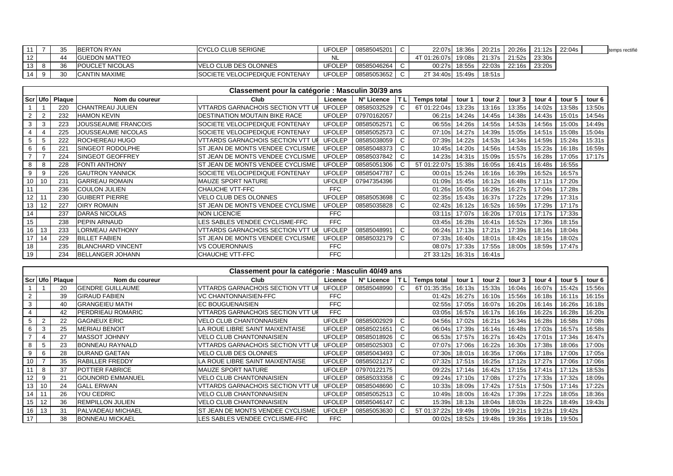|    |    | <b>BERTON RYAN</b>     | <b>ICYCLO CLUB SERIGNE</b>             | <b>UFOLEP</b> | 08585045201 |                               |               | 22:07s 18:36s 20:21s |        |        | $120:26s$   21:12s   22:04s | temps rectifié |
|----|----|------------------------|----------------------------------------|---------------|-------------|-------------------------------|---------------|----------------------|--------|--------|-----------------------------|----------------|
| 12 | 44 | <b>IGUEDON MATTEO</b>  |                                        |               |             | 4T 01:26:07sl 19:08s   21:37s |               |                      | 21:52s | 23:30s |                             |                |
| 13 |    | <b>POUCLET NICOLAS</b> | VELO CLUB DES OLONNES                  | <b>UFOLEP</b> | 08585046264 |                               | 00:27s 18:55s | 22:03s               | 22:16s | 23:20s |                             |                |
| 14 |    | <b>ICANTIN MAXIME</b>  | <b>ISOCIETE VELOCIPEDIQUE FONTENAY</b> | UFOLEP        | 08585053652 | 2T 34:40s 15:49s              |               | 18:51s               |        |        |                             |                |

|                | Classement pour la catégorie : Masculin 30/39 ans |                |                            |                                   |               |             |    |                    |        |        |        |        |        |        |
|----------------|---------------------------------------------------|----------------|----------------------------|-----------------------------------|---------------|-------------|----|--------------------|--------|--------|--------|--------|--------|--------|
|                |                                                   | Scr Ufo Plaque | Nom du coureur             | Club                              | Licence       | N° Licence  | ΤL | <b>Temps total</b> | tour 1 | tour 2 | tour 3 | tour 4 | tour 5 | tour 6 |
|                |                                                   | 220            | <b>CHANTREAU JULIEN</b>    | VTTARDS GARNACHOIS SECTION VTT UI | <b>UFOLEP</b> | 08585032529 | C  | 6T 01:22:04s       | 13:23s | 13:16s | 13:35s | 14:02s | 13:58s | 13:50s |
| $\overline{2}$ | $\overline{2}$                                    | 232            | <b>HAMON KEVIN</b>         | DESTINATION MOUTAIN BIKE RACE     | <b>UFOLEP</b> | 07970162057 |    | 06:21s             | 14:24s | 14:45s | 14:38s | 14:43s | 15:01s | 14:54s |
| 3              | 3                                                 | 223            | <b>JOUSSEAUME FRANCOIS</b> | SOCIETE VELOCIPEDIQUE FONTENAY    | <b>UFOLEP</b> | 08585052571 | C  | 06:55s             | 14:26s | 14:55s | 14:53s | 14:56s | 15:00s | 14:49s |
| 4              |                                                   | 225            | JOUSSEAUME NICOLAS         | SOCIETE VELOCIPEDIQUE FONTENAY    | <b>UFOLEP</b> | 08585052573 | C  | 07:10s             | 14:27s | 14:39s | 15:05s | 14:51s | 15:08s | 15:04s |
| 5              | 5                                                 | 222            | <b>ROCHEREAU HUGO</b>      | VITARDS GARNACHOIS SECTION VTT UI | <b>UFOLEP</b> | 08585038059 | C  | 07:39s             | 14:22s | 14:53s | 14:34s | 14:59s | 15:24s | 15:31s |
| 6              | 6                                                 | 221            | <b>ISINGEOT RODOLPHE</b>   | IST JEAN DE MONTS VENDEE CYCLISME | <b>UFOLEP</b> | 08585048373 | C  | 10:45s             | 14:20s | 14:56s | 14:53s | 15:23s | 16:18s | 16:59s |
| $\overline{7}$ |                                                   | 224            | <b>ISINGEOT GEOFFREY</b>   | ST JEAN DE MONTS VENDEE CYCLISME  | <b>UFOLEP</b> | 08585037842 | C  | 14:23s             | 14:31s | 15:09s | 15:57s | 16:28s | 17:05s | 17:17s |
| 8              | 8                                                 | 228            | <b>FONTI ANTHONY</b>       | IST JEAN DE MONTS VENDEE CYCLISME | <b>UFOLEP</b> | 08585051306 | C  | 5T 01:22:07s       | 15:38s | 16:05s | 16:41s | 16:48s | 16:55s |        |
| 9              | 9                                                 | 226            | <b>GAUTRON YANNICK</b>     | SOCIETE VELOCIPEDIQUE FONTENAY    | <b>UFOLEP</b> | 08585047787 | C  | 00:01s             | 15:24s | 16:16s | 16:39s | 16:52s | 16:57s |        |
| 10             | 10                                                | 231            | <b>GARREAU ROMAIN</b>      | MAUZE SPORT NATURE                | <b>UFOLEP</b> | 07947354396 |    | 01:09s             | 15:45s | 16:12s | 16:48s | 17:11s | 17:20s |        |
| 11             |                                                   | 236            | <b>COULON JULIEN</b>       | CHAUCHE VTT-FFC                   | <b>FFC</b>    |             |    | 01:26s             | 16:05s | 16:29s | 16:27s | 17:04s | 17:28s |        |
| 12             |                                                   | 230            | <b>GUIBERT PIERRE</b>      | <b>VELO CLUB DES OLONNES</b>      | <b>UFOLEP</b> | 08585053698 | C  | 02:35s             | 15:43s | 16:37s | 17:22s | 17:29s | 17:31s |        |
| 13             | 12                                                | 227            | <b>OIRY ROMAIN</b>         | IST JEAN DE MONTS VENDEE CYCLISME | <b>UFOLEP</b> | 08585035828 | C  | 02:42s             | 16:12s | 16:52s | 16:59s | 17:29s | 17:17s |        |
| 14             |                                                   | 237            | <b>DARAS NICOLAS</b>       | NON LICENCIE                      | <b>FFC</b>    |             |    | 03:11s             | 17:07s | 16:20s | 17:01s | 17:17s | 17:33s |        |
| 15             |                                                   | 238            | <b>IPEPIN ARNAUD</b>       | LES SABLES VENDEE CYCLISME-FFC    | <b>FFC</b>    |             |    | 03:45s             | 16:28s | 16:41s | 16:52s | 17:36s | 18:15s |        |
| 16             | 13                                                | 233            | <b>LORMEAU ANTHONY</b>     | VITARDS GARNACHOIS SECTION VTT UI | <b>UFOLEP</b> | 08585048991 | C  | 06:24s             | 17:13s | 17:21s | 17:39s | 18:14s | 18:04s |        |
| 17             | 14                                                | 229            | <b>BILLET FABIEN</b>       | IST JEAN DE MONTS VENDEE CYCLISME | <b>UFOLEP</b> | 08585032179 | C  | 07:33s             | 16:40s | 18:01s | 18:42s | 18:15s | 18:02s |        |
| 18             |                                                   | 235            | <b>BLANCHARD VINCENT</b>   | VS COUERONNAIS                    | <b>FFC</b>    |             |    | 08:07s             | 17:33s | 17:55s | 18:00s | 18:59s | 17:47s |        |
| 19             |                                                   | 234            | BELLANGER JOHANN           | CHAUCHE VTT-FFC                   | <b>FFC</b>    |             |    | 2T 33:12s          | 16:31s | 16:41s |        |        |        |        |

|    | Classement pour la catégorie : Masculin 40/49 ans                                                                                                         |    |                          |                                          |               |             |   |              |        |        |        |        |        |        |
|----|-----------------------------------------------------------------------------------------------------------------------------------------------------------|----|--------------------------|------------------------------------------|---------------|-------------|---|--------------|--------|--------|--------|--------|--------|--------|
|    | Scr Ufo Plaque<br>Nom du coureur<br>ΤI<br><b>Temps total</b><br>tour 2<br>tour 5<br>Club<br>N° Licence<br>tour 3<br>Licence<br>tour 6<br>tour 1<br>tour 4 |    |                          |                                          |               |             |   |              |        |        |        |        |        |        |
|    |                                                                                                                                                           | 20 | <b>GENDRE GUILLAUME</b>  | <b>VTTARDS GARNACHOIS SECTION VTT UF</b> | <b>UFOLEP</b> | 08585048990 | C | 6T 01:35:35s | 16:13s | 15:33s | 16:04s | 16:07s | 15:42s | 15:56s |
|    |                                                                                                                                                           | 39 | <b>GIRAUD FABIEN</b>     | <b>VC CHANTONNAISIEN-FFC</b>             | FFC           |             |   | 01:42s       | 16:27s | 16:10s | 15:56s | 16:18s | 16:11s | 16:15s |
|    |                                                                                                                                                           | 40 | <b>GRANGEIEU MATH</b>    | <b>IEC BOUGUENAISIEN</b>                 | <b>FFC</b>    |             |   | 02:55s       | 17:05s | 16:07s | 16:20s | 16:14s | 16:26s | 16:18s |
|    |                                                                                                                                                           | 42 | <b>PERDRIEAU ROMARIC</b> | <b>VTTARDS GARNACHOIS SECTION VTT UP</b> | FFC           |             |   | 03:05s       | 16:57s | 16:17s | 16:16s | 16:22s | 16:28s | 16:20s |
|    |                                                                                                                                                           | 22 | <b>GAGNEUX ERIC</b>      | <b>VELO CLUB CHANTONNAISIEN</b>          | <b>UFOLEP</b> | 08585002929 | C | 04:56s       | 17:02s | 16:21s | 16:34s | 16:28s | 16:58s | 17:08s |
|    | 3                                                                                                                                                         | 25 | <b>MERIAU BENOIT</b>     | LA ROUE LIBRE SAINT MAIXENTAISE          | <b>UFOLEP</b> | 08585021651 | C | 06:04s       | 17:39s | 16:14s | 16:48s | 17:03s | 16:57s | 16:58s |
|    |                                                                                                                                                           | 27 | <b>MASSOT JOHNNY</b>     | <b>VELO CLUB CHANTONNAISIEN</b>          | <b>UFOLEP</b> | 08585018926 | С | 06:53s       | 17:57s | 16:27s | 16:42s | 17:01s | 17:34s | 16:47s |
|    | 5                                                                                                                                                         | 23 | <b>BONNEAU RAYNALD</b>   | <b>VTTARDS GARNACHOIS SECTION VTT UF</b> | <b>UFOLEP</b> | 08585025303 | C | 07:07s       | 17:06s | 16:22s | 16:30s | 17:38s | 18:06s | 17:00s |
|    | 6                                                                                                                                                         | 28 | <b>DURAND GAETAN</b>     | <b>VELO CLUB DES OLONNES</b>             | <b>UFOLEP</b> | 08585043493 | C | 07:30s       | 18:01s | 16:35s | 17:06s | 17:18s | 17:00s | 17:05s |
| 10 |                                                                                                                                                           | 35 | <b>RABILLER FREDDY</b>   | LA ROUE LIBRE SAINT MAIXENTAISE          | <b>UFOLEP</b> | 08585021217 | C | 07:32s       | 17:51s | 16:25s | 17:12s | 17:27s | 17:06s | 17:06s |
|    | 8                                                                                                                                                         | 37 | <b>POTTIER FABRICE</b>   | <b>IMAUZE SPORT NATURE</b>               | <b>UFOLEP</b> | 07970122175 |   | 09:22s       | 17:14s | 16:42s | 17:15s | 17:41s | 17:12s | 18:53s |
| 12 | 9                                                                                                                                                         | 21 | <b>GOUNORD EMMANUEL</b>  | <b>VELO CLUB CHANTONNAISIEN</b>          | <b>UFOLEP</b> | 08585033358 | C | 09:24s       | 17:10s | 17:08s | 17:27s | 17:33s | 17:32s | 18:09s |
| 13 | 10                                                                                                                                                        | 24 | <b>GALL ERWAN</b>        | <b>VTTARDS GARNACHOIS SECTION VTT UF</b> | <b>UFOLEP</b> | 08585048690 | C | 10:33s       | 18:09s | 17:42s | 17:51s | 17:50s | 17:14s | 17:22s |
| 14 | 11                                                                                                                                                        | 26 | YOU CEDRIC               | <b>VELO CLUB CHANTONNAISIEN</b>          | <b>UFOLEP</b> | 08585052513 |   | 10:49s       | 18:00s | 16:42s | 17:39s | 17:22s | 18:05s | 18:36s |
| 15 | 12                                                                                                                                                        | 36 | <b>IREMPILLON JULIEN</b> | <b>VELO CLUB CHANTONNAISIEN</b>          | <b>UFOLEP</b> | 08585046147 | C | 15:39s       | 18:13s | 18:04s | 18:03s | 18:22s | 18:49s | 19:43s |
| 16 | 13                                                                                                                                                        | 31 | <b>PALVADEAU MICHAEL</b> | IST JEAN DE MONTS VENDEE CYCLISME        | <b>UFOLEP</b> | 08585053630 | C | 5T 01:37:22s | 19:49s | 19:09s | 19:21s | 19:21s | 19:42s |        |
| 17 |                                                                                                                                                           | 38 | <b>BONNEAU MICKAEL</b>   | LES SABLES VENDEE CYCLISME-FFC           | FFC           |             |   | 00:02s       | 18:52s | 19:48s | 19:36s | 19:18s | 19:50s |        |